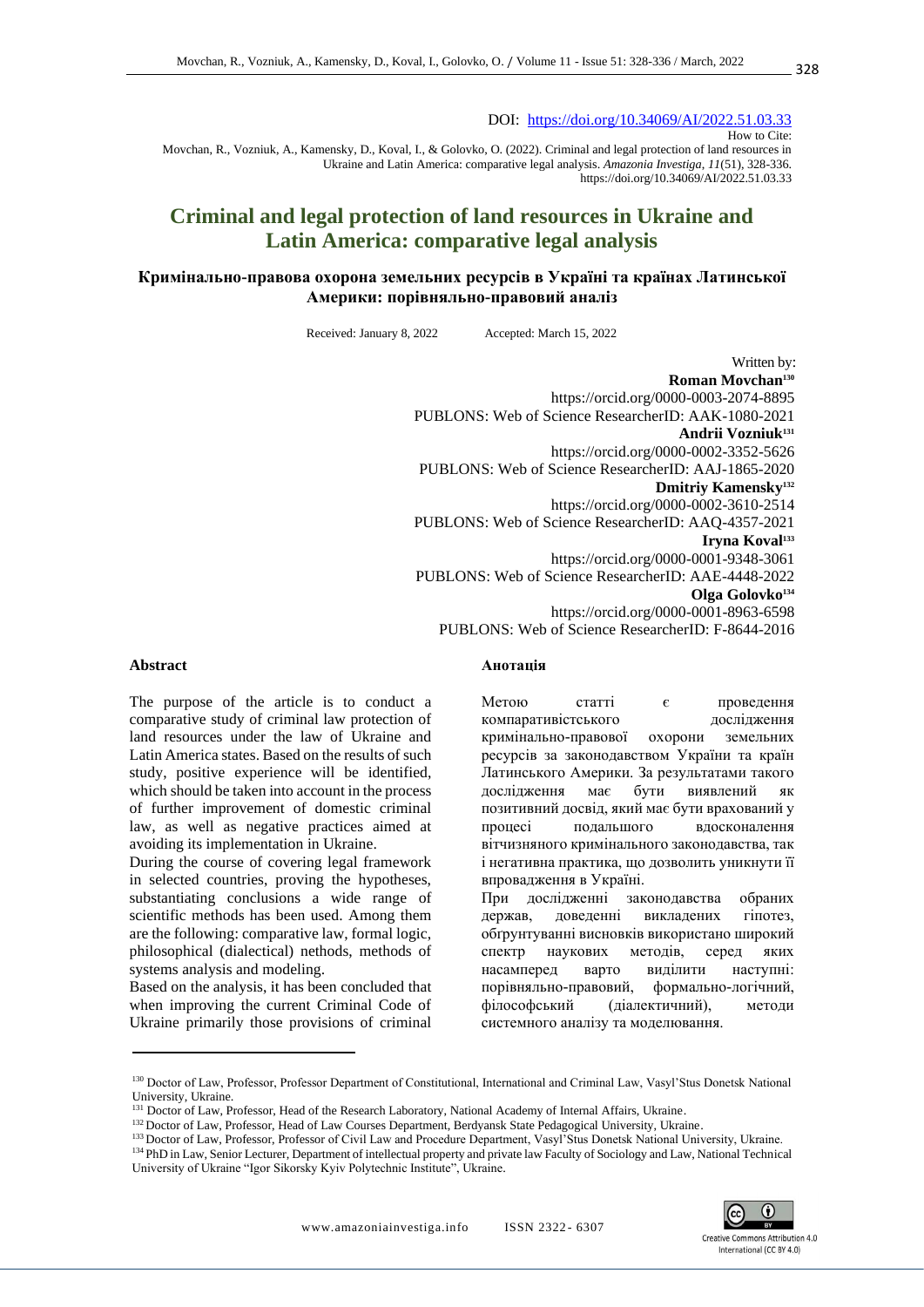DOI: <https://doi.org/10.34069/AI/2022.51.03.33> How to Cite:

Movchan, R., Vozniuk, A., Kamensky, D., Koval, I., & Golovko, O. (2022). Criminal and legal protection of land resources in Ukraine and Latin America: comparative legal analysis. *Amazonia Investiga*, *11*(51), 328-336. https://doi.org/10.34069/AI/2022.51.03.33

# **Criminal and legal protection of land resources in Ukraine and Latin America: comparative legal analysis**

### **Кримінально-правова охорона земельних ресурсів в Україні та країнах Латинської Америки: порівняльно-правовий аналіз**

Received: January 8, 2022 Accepted: March 15, 2022

Written by: **Roman Movchan<sup>130</sup>** https://orcid.org/0000-0003-2074-8895 PUBLONS: Web of Science ResearcherID: AAK-1080-2021 **Andrii Vozniuk<sup>131</sup>** https://orcid.org/0000-0002-3352-5626 PUBLONS: Web of Science ResearcherID: AAJ-1865-2020 **Dmitriy Kamensky<sup>132</sup>** https://orcid.org/0000-0002-3610-2514 PUBLONS: Web of Science ResearcherID: AAQ-4357-2021 **Iryna Koval<sup>133</sup>** https://orcid.org/0000-0001-9348-3061 PUBLONS: Web of Science ResearcherID: AAE-4448-2022 **Olga Golovko<sup>134</sup>** https://orcid.org/0000-0001-8963-6598 PUBLONS: Web of Science ResearcherID: F-8644-2016

#### **Abstract**

The purpose of the article is to conduct a comparative study of criminal law protection of land resources under the law of Ukraine and Latin America states. Based on the results of such study, positive experience will be identified, which should be taken into account in the process of further improvement of domestic criminal law, as well as negative practices aimed at avoiding its implementation in Ukraine.

During the course of covering legal framework in selected countries, proving the hypotheses, substantiating conclusions a wide range of scientific methods has been used. Among them are the following: comparative law, formal logic, philosophical (dialectical) nethods, methods of systems analysis and modeling.

Based on the analysis, it has been concluded that when improving the current Criminal Code of Ukraine primarily those provisions of criminal

## **Анотація**

Метою статті є проведення компаративістського дослідження кримінально-правової охорони земельних ресурсів за законодавством України та країн Латинського Америки. За результатами такого дослідження має бути виявлений як позитивний досвід, який має бути врахований у процесі подальшого вдосконалення вітчизняного кримінального законодавства, так і негативна практика, що дозволить уникнути її впровадження в Україні.

При дослідженні законодавства обраних держав, доведенні викладених гіпотез, обґрунтуванні висновків використано широкий спектр наукових методів, серед яких насамперед варто виділити наступні: порівняльно-правовий, формально-логічний, філософський (діалектичний), методи системного аналізу та моделювання.



<sup>130</sup> Doctor of Law, Professor, Professor Department of Constitutional, International and Criminal Law, Vasyl'Stus Donetsk National University, Ukraine.

<sup>&</sup>lt;sup>131</sup> Doctor of Law, Professor, Head of the Research Laboratory, National Academy of Internal Affairs, Ukraine.

<sup>132</sup> Doctor of Law, Professor, Head of Law Courses Department, Berdyansk State Pedagogical University, Ukraine.

<sup>133</sup> Doctor of Law, Professor, Professor of Civil Law and Procedure Department, Vasyl'Stus Donetsk National University, Ukraine. <sup>134</sup> PhD in Law, Senior Lecturer, Department of intellectual property and private law Faculty of Sociology and Law, National Technical University of Ukraine "Igor Sikorsky Kyiv Polytechnic Institute", Ukraine.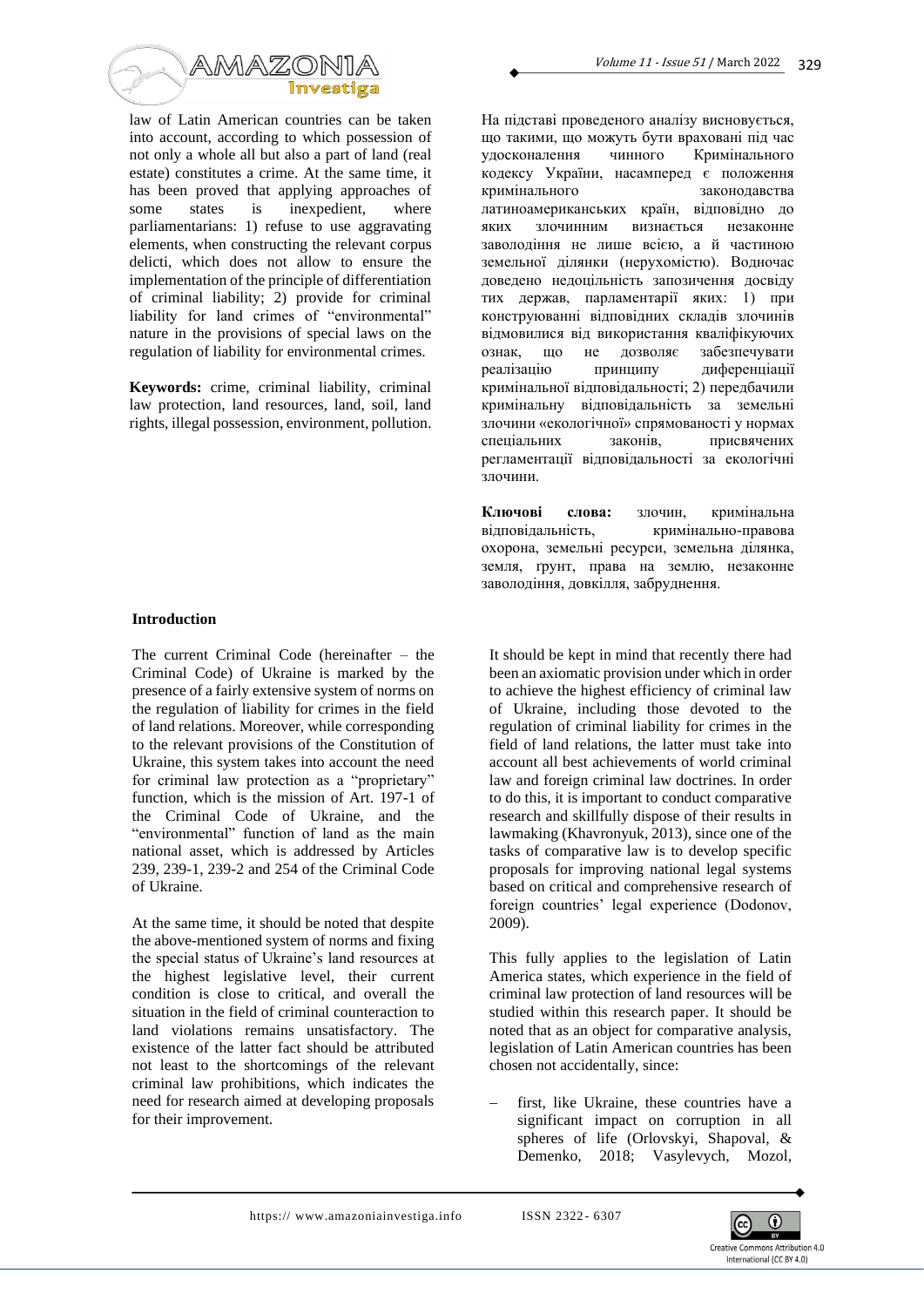

law of Latin American countries can be taken into account, according to which possession of not only a whole all but also a part of land (real estate) constitutes a crime. At the same time, it has been proved that applying approaches of some states is inexpedient, where parliamentarians: 1) refuse to use aggravating elements, when constructing the relevant corpus delicti, which does not allow to ensure the implementation of the principle of differentiation of criminal liability; 2) provide for criminal liability for land crimes of "environmental" nature in the provisions of special laws on the regulation of liability for environmental crimes.

**Keywords:** crime, criminal liability, criminal law protection, land resources, land, soil, land rights, illegal possession, environment, pollution.

#### **Introduction**

The current Criminal Code (hereinafter – the Criminal Code) of Ukraine is marked by the presence of a fairly extensive system of norms on the regulation of liability for crimes in the field of land relations. Moreover, while corresponding to the relevant provisions of the Constitution of Ukraine, this system takes into account the need for criminal law protection as a "proprietary" function, which is the mission of Art. 197-1 of the Criminal Code of Ukraine, and the "environmental" function of land as the main national asset, which is addressed by Articles 239, 239-1, 239-2 and 254 of the Criminal Code of Ukraine.

At the same time, it should be noted that despite the above-mentioned system of norms and fixing the special status of Ukraine's land resources at the highest legislative level, their current condition is close to critical, and overall the situation in the field of criminal counteraction to land violations remains unsatisfactory. The existence of the latter fact should be attributed not least to the shortcomings of the relevant criminal law prohibitions, which indicates the need for research aimed at developing proposals for their improvement.

На підставі проведеного аналізу висновується, що такими, що можуть бути враховані під час удосконалення чинного Кримінального кодексу України, насамперед є положення кримінального законодавства латиноамериканських країн, відповідно до яких злочинним визнається незаконне заволодіння не лише всією, а й частиною земельної ділянки (нерухомістю). Водночас доведено недоцільність запозичення досвіду тих держав, парламентарії яких: 1) при конструюванні відповідних складів злочинів відмовилися від використання кваліфікуючих ознак, що не дозволяє забезпечувати реалізацію принципу диференціації кримінальної відповідальності; 2) передбачили кримінальну відповідальність за земельні злочини «екологічної» спрямованості у нормах спеціальних законів, присвячених регламентації відповідальності за екологічні злочини.

**Ключові слова:** злочин, кримінальна відповідальність, кримінально-правова охорона, земельні ресурси, земельна ділянка, земля, ґрунт, права на землю, незаконне заволодіння, довкілля, забруднення.

It should be kept in mind that recently there had been an axiomatic provision under which in order to achieve the highest efficiency of criminal law of Ukraine, including those devoted to the regulation of criminal liability for crimes in the field of land relations, the latter must take into account all best achievements of world criminal law and foreign criminal law doctrines. In order to do this, it is important to conduct comparative research and skillfully dispose of their results in lawmaking (Khavronyuk, 2013), since one of the tasks of comparative law is to develop specific proposals for improving national legal systems based on critical and comprehensive research of foreign countries' legal experience (Dodonov, 2009).

This fully applies to the legislation of Latin America states, which experience in the field of criminal law protection of land resources will be studied within this research paper. It should be noted that as an object for comparative analysis, legislation of Latin American countries has been chosen not accidentally, since:

first, like Ukraine, these countries have a significant impact on corruption in all spheres of life (Orlovskyi, Shapoval, & Demenko, 2018; Vasylevych, Mozol,

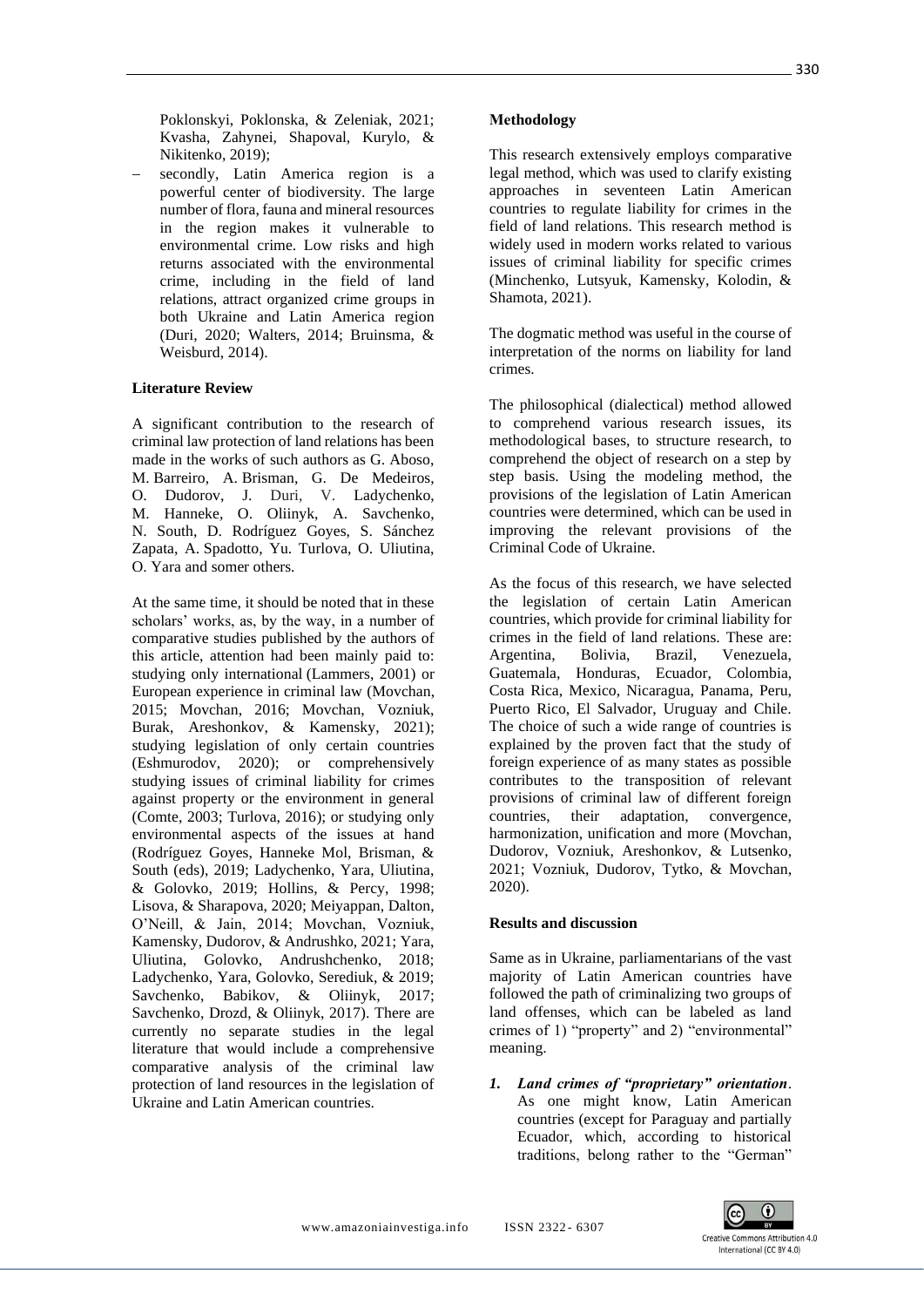Poklonskyi, Poklonska, & Zeleniak, 2021; Kvasha, Zahynei, Shapoval, Kurylo, & Nikitenko, 2019);

secondly, Latin America region is a powerful center of biodiversity. The large number of flora, fauna and mineral resources in the region makes it vulnerable to environmental crime. Low risks and high returns associated with the environmental crime, including in the field of land relations, attract organized crime groups in both Ukraine and Latin America region (Duri, 2020; Walters, 2014; Bruinsma, & Weisburd, 2014).

### **Literature Review**

A significant contribution to the research of criminal law protection of land relations has been made in the works of such authors as G. Aboso, M. Barreiro, A. Brisman, G. De Medeiros, O. Dudorov, J. Duri, V. Ladychenko, M. Hanneke, O. Oliinyk, A. Savchenko, N. South, D. Rodríguez Goyes, S. Sánchez Zapata, A. Spadotto, Yu. Turlova, O. Uliutina, O. Yara and somer others.

At the same time, it should be noted that in these scholars' works, as, by the way, in a number of comparative studies published by the authors of this article, attention had been mainly paid to: studying only international (Lammers, 2001) or European experience in criminal law (Movchan, 2015; Movchan, 2016; Movchan, Vozniuk, Burak, Areshonkov, & Kamensky, 2021); studying legislation of only certain countries (Eshmurodov, 2020); or comprehensively studying issues of criminal liability for crimes against property or the environment in general (Comte, 2003; Turlova, 2016); or studying only environmental aspects of the issues at hand (Rodríguez Goyes, Hanneke Mol, Brisman, & South (eds), 2019; Ladychenko, Yara, Uliutina, & Golovko, 2019; Hollins, & Percy, 1998; Lisova, & Sharapova, 2020; Meiyappan, Dalton, O'Neill, & Jain, 2014; Movchan, Vozniuk, Kamensky, Dudorov, & Andrushko, 2021; Yara, Uliutina, Golovko, Andrushchenko, 2018; Ladychenko, Yara, Golovko, Serediuk, & 2019; Savchenko, Babikov, & Oliinyk, 2017; Savchenko, Drozd, & Oliinyk, 2017). There are currently no separate studies in the legal literature that would include a comprehensive comparative analysis of the criminal law protection of land resources in the legislation of Ukraine and Latin American countries.

### **Меthodology**

This research extensively employs comparative legal method, which was used to clarify existing approaches in seventeen Latin American countries to regulate liability for crimes in the field of land relations. This research method is widely used in modern works related to various issues of criminal liability for specific crimes (Minchenko, Lutsyuk, Kamensky, Kolodin, & Shamota, 2021).

The dogmatic method was useful in the course of interpretation of the norms on liability for land crimes.

The philosophical (dialectical) method allowed to comprehend various research issues, its methodological bases, to structure research, to comprehend the object of research on a step by step basis. Using the modeling method, the provisions of the legislation of Latin American countries were determined, which can be used in improving the relevant provisions of the Criminal Code of Ukraine.

As the focus of this research, we have selected the legislation of certain Latin American countries, which provide for criminal liability for crimes in the field of land relations. These are: Argentina, Bolivia, Brazil, Venezuela, Guatemala, Honduras, Ecuador, Colombia, Costa Rica, Mexico, Nicaragua, Panama, Peru, Puerto Rico, El Salvador, Uruguay and Chile. The choice of such a wide range of countries is explained by the proven fact that the study of foreign experience of as many states as possible contributes to the transposition of relevant provisions of criminal law of different foreign countries, their adaptation, convergence, harmonization, unification and more (Movchan, Dudorov, Vozniuk, Areshonkov, & Lutsenko, 2021; Vozniuk, Dudorov, Tytko, & Movchan, 2020).

### **Results and discussion**

Same as in Ukraine, parliamentarians of the vast majority of Latin American countries have followed the path of criminalizing two groups of land offenses, which can be labeled as land crimes of 1) "property" and 2) "environmental" meaning.

*1. Land crimes of "proprietary" orientation*. As one might know, Latin American countries (except for Paraguay and partially Ecuador, which, according to historical traditions, belong rather to the "German"

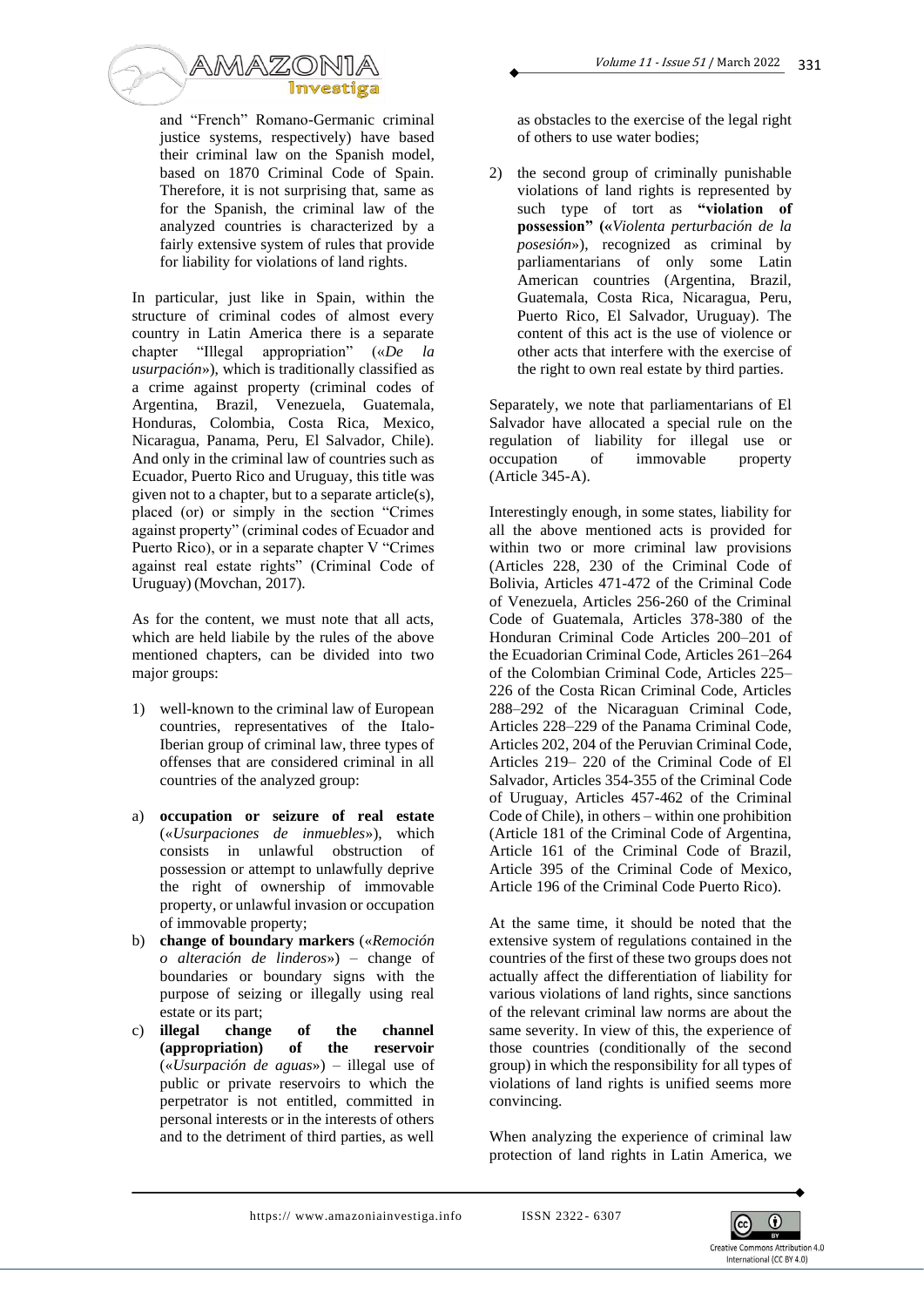

and "French" Romano-Germanic criminal justice systems, respectively) have based their criminal law on the Spanish model, based on 1870 Criminal Code of Spain. Therefore, it is not surprising that, same as for the Spanish, the criminal law of the analyzed countries is characterized by a fairly extensive system of rules that provide for liability for violations of land rights.

In particular, just like in Spain, within the structure of criminal codes of almost every country in Latin America there is a separate chapter "Illegal appropriation" («*De la usurpación*»), which is traditionally classified as a crime against property (criminal codes of Argentina, Brazil, Venezuela, Guatemala, Honduras, Colombia, Costa Rica, Mexico, Nicaragua, Panama, Peru, El Salvador, Chile). And only in the criminal law of countries such as Ecuador, Puerto Rico and Uruguay, this title was given not to a chapter, but to a separate article(s), placed (or) or simply in the section "Crimes against property" (criminal codes of Ecuador and Puerto Rico), or in a separate chapter V "Crimes against real estate rights" (Criminal Code of Uruguay) (Movchan, 2017).

As for the content, we must note that all acts, which are held liabile by the rules of the above mentioned chapters, can be divided into two major groups:

- 1) well-known to the criminal law of European countries, representatives of the Italo-Iberian group of criminal law, three types of offenses that are considered criminal in all countries of the analyzed group:
- a) **occupation or seizure of real estate** («*Usurpaciones de inmuebles*»), which consists in unlawful obstruction of possession or attempt to unlawfully deprive the right of ownership of immovable property, or unlawful invasion or occupation of immovable property;
- b) **change of boundary markers** («*Remoción o alteración de linderos*») – change of boundaries or boundary signs with the purpose of seizing or illegally using real estate or its part;
- c) **illegal change of the channel (appropriation) of the reservoir**  («*Usurpación de aguas*») – illegal use of public or private reservoirs to which the perpetrator is not entitled, committed in personal interests or in the interests of others and to the detriment of third parties, as well

as obstacles to the exercise of the legal right of others to use water bodies;

2) the second group of criminally punishable violations of land rights is represented by such type of tort as **"violation of possession" («***Violenta perturbación de la posesión*»), recognized as criminal by parliamentarians of only some Latin American countries (Argentina, Brazil, Guatemala, Costa Rica, Nicaragua, Peru, Puerto Rico, El Salvador, Uruguay). The content of this act is the use of violence or other acts that interfere with the exercise of the right to own real estate by third parties.

Separately, we note that parliamentarians of El Salvador have allocated a special rule on the regulation of liability for illegal use or occupation of immovable property (Article 345-A).

Interestingly enough, in some states, liability for all the above mentioned acts is provided for within two or more criminal law provisions (Articles 228, 230 of the Criminal Code of Bolivia, Articles 471-472 of the Criminal Code of Venezuela, Articles 256-260 of the Criminal Code of Guatemala, Articles 378-380 of the Honduran Criminal Code Articles 200–201 of the Ecuadorian Criminal Code, Articles 261–264 of the Colombian Criminal Code, Articles 225– 226 of the Costa Rican Criminal Code, Articles 288–292 of the Nicaraguan Criminal Code, Articles 228–229 of the Panama Criminal Code, Articles 202, 204 of the Peruvian Criminal Code, Articles 219– 220 of the Criminal Code of El Salvador, Articles 354-355 of the Criminal Code of Uruguay, Articles 457-462 of the Criminal Code of Chile), in others – within one prohibition (Article 181 of the Criminal Code of Argentina, Article 161 of the Criminal Code of Brazil, Article 395 of the Criminal Code of Mexico, Article 196 of the Criminal Code Puerto Rico).

At the same time, it should be noted that the extensive system of regulations contained in the countries of the first of these two groups does not actually affect the differentiation of liability for various violations of land rights, since sanctions of the relevant criminal law norms are about the same severity. In view of this, the experience of those countries (conditionally of the second group) in which the responsibility for all types of violations of land rights is unified seems more convincing.

When analyzing the experience of criminal law protection of land rights in Latin America, we

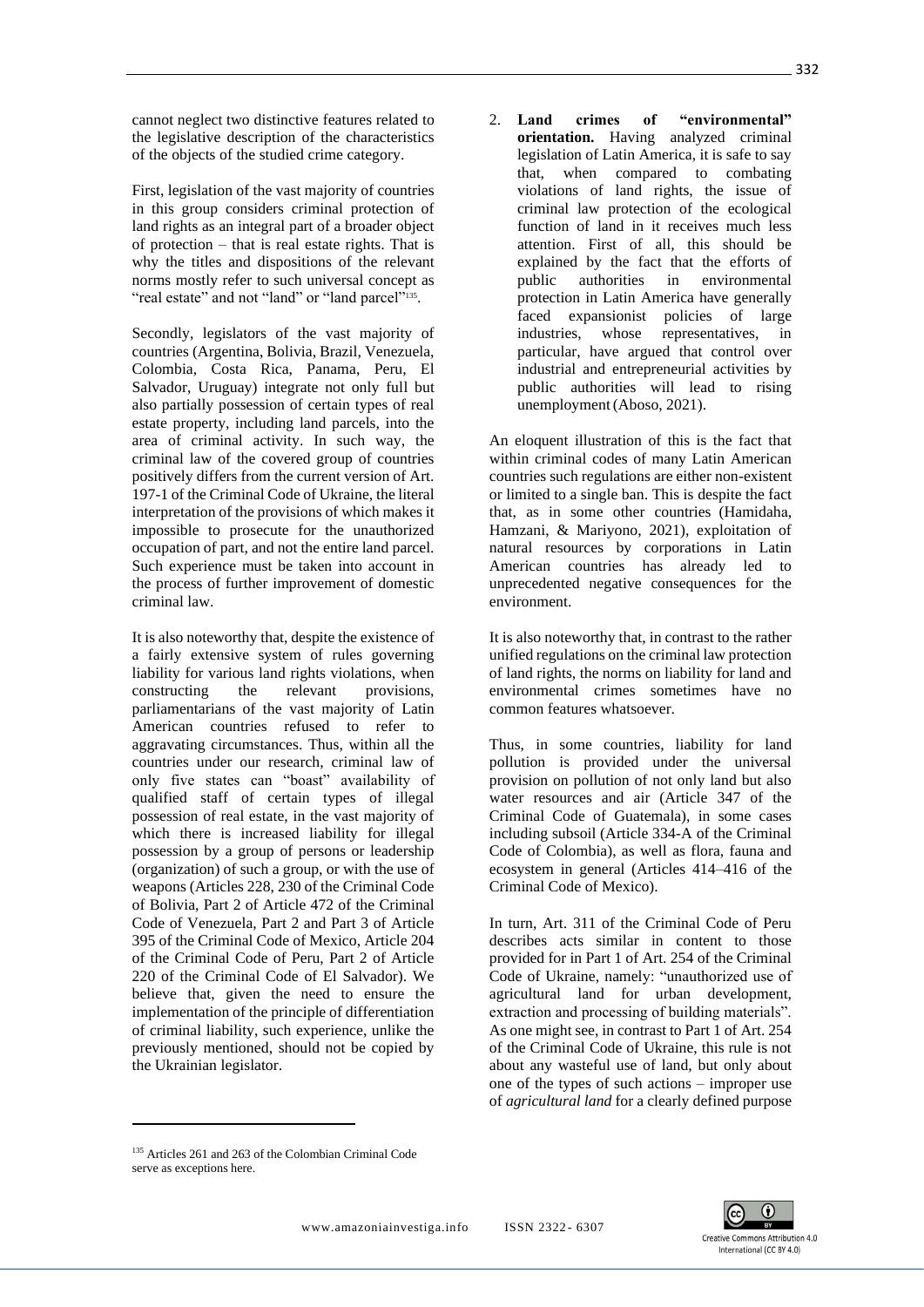cannot neglect two distinctive features related to the legislative description of the characteristics of the objects of the studied crime category.

First, legislation of the vast majority of countries in this group considers criminal protection of land rights as an integral part of a broader object of protection – that is real estate rights. That is why the titles and dispositions of the relevant norms mostly refer to such universal concept as "real estate" and not "land" or "land parcel"<sup>135</sup>.

Secondly, legislators of the vast majority of countries (Argentina, Bolivia, Brazil, Venezuela, Colombia, Costa Rica, Panama, Peru, El Salvador, Uruguay) integrate not only full but also partially possession of certain types of real estate property, including land parcels, into the area of criminal activity. In such way, the criminal law of the covered group of countries positively differs from the current version of Art. 197-1 of the Criminal Code of Ukraine, the literal interpretation of the provisions of which makes it impossible to prosecute for the unauthorized occupation of part, and not the entire land parcel. Such experience must be taken into account in the process of further improvement of domestic criminal law.

It is also noteworthy that, despite the existence of a fairly extensive system of rules governing liability for various land rights violations, when<br>constructing the relevant provisions, constructing the relevant provisions, parliamentarians of the vast majority of Latin American countries refused to refer to aggravating circumstances. Thus, within all the countries under our research, criminal law of only five states can "boast" availability of qualified staff of certain types of illegal possession of real estate, in the vast majority of which there is increased liability for illegal possession by a group of persons or leadership (organization) of such a group, or with the use of weapons (Articles 228, 230 of the Criminal Code of Bolivia, Part 2 of Article 472 of the Criminal Code of Venezuela, Part 2 and Part 3 of Article 395 of the Criminal Code of Mexico, Article 204 of the Criminal Code of Peru, Part 2 of Article 220 of the Criminal Code of El Salvador). We believe that, given the need to ensure the implementation of the principle of differentiation of criminal liability, such experience, unlike the previously mentioned, should not be copied by the Ukrainian legislator.

2. **Land crimes of "environmental" orientation.** Having analyzed criminal legislation of Latin America, it is safe to say that, when compared to combating violations of land rights, the issue of criminal law protection of the ecological function of land in it receives much less attention. First of all, this should be explained by the fact that the efforts of public authorities in environmental protection in Latin America have generally faced expansionist policies of large industries, whose representatives, in particular, have argued that control over industrial and entrepreneurial activities by public authorities will lead to rising unemployment(Aboso, 2021).

An eloquent illustration of this is the fact that within criminal codes of many Latin American countries such regulations are either non-existent or limited to a single ban. This is despite the fact that, as in some other countries (Hamidahа, Hamzani, & Mariyono, 2021), exploitation of natural resources by corporations in Latin American countries has already led to unprecedented negative consequences for the environment.

It is also noteworthy that, in contrast to the rather unified regulations on the criminal law protection of land rights, the norms on liability for land and environmental crimes sometimes have no common features whatsoever.

Thus, in some countries, liability for land pollution is provided under the universal provision on pollution of not only land but also water resources and air (Article 347 of the Criminal Code of Guatemala), in some cases including subsoil (Article 334-A of the Criminal Code of Colombia), as well as flora, fauna and ecosystem in general (Articles 414–416 of the Criminal Code of Mexico).

In turn, Art. 311 of the Criminal Code of Peru describes acts similar in content to those provided for in Part 1 of Art. 254 of the Criminal Code of Ukraine, namely: "unauthorized use of agricultural land for urban development, extraction and processing of building materials". As one might see, in contrast to Part 1 of Art. 254 of the Criminal Code of Ukraine, this rule is not about any wasteful use of land, but only about one of the types of such actions – improper use of *agricultural land* for a clearly defined purpose



<sup>135</sup> Articles 261 and 263 of the Colombian Criminal Code serve as exceptions here.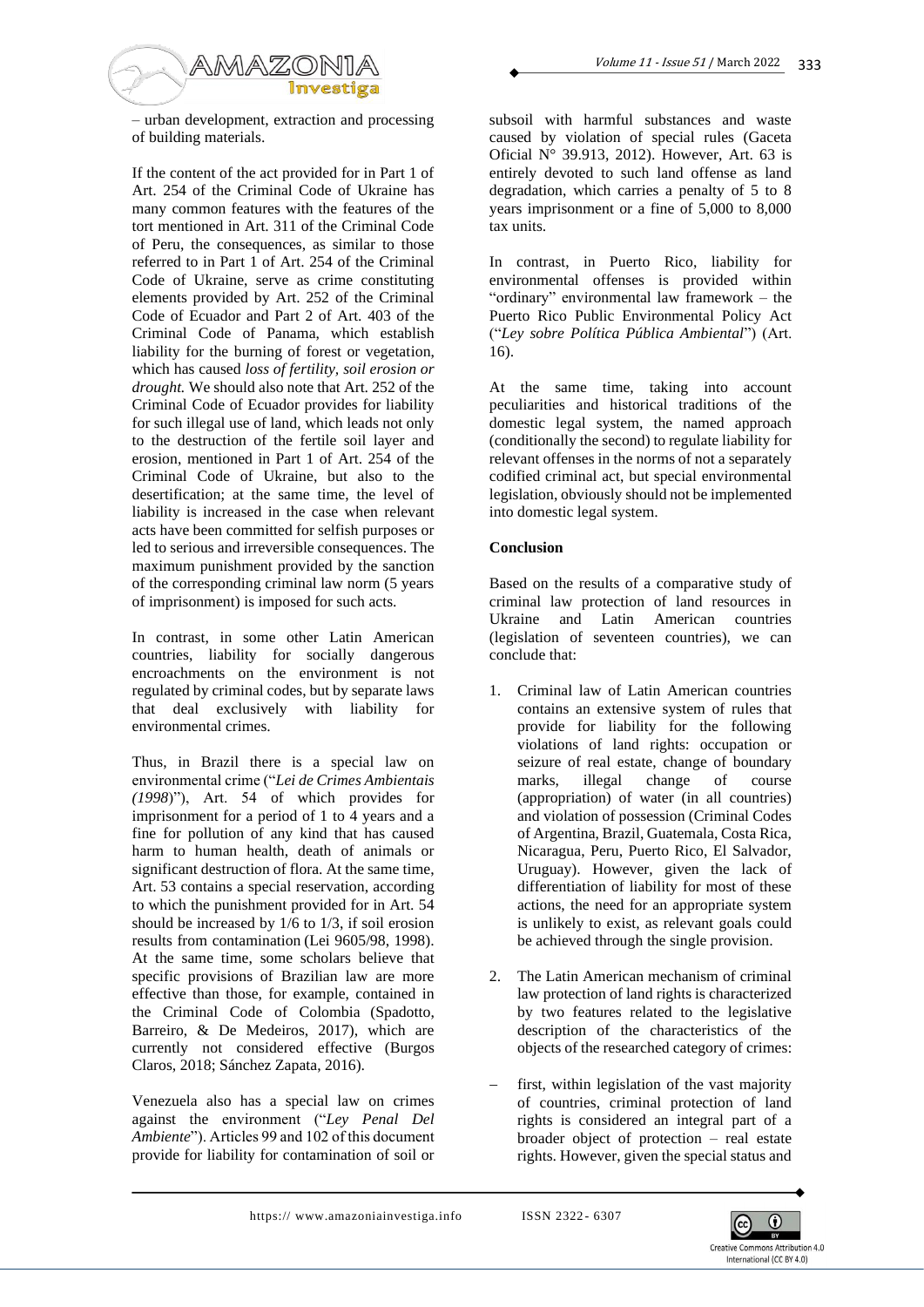

– urban development, extraction and processing of building materials.

If the content of the act provided for in Part 1 of Art. 254 of the Criminal Code of Ukraine has many common features with the features of the tort mentioned in Art. 311 of the Criminal Code of Peru, the consequences, as similar to those referred to in Part 1 of Art. 254 of the Criminal Code of Ukraine, serve as crime constituting elements provided by Art. 252 of the Criminal Code of Ecuador and Part 2 of Art. 403 of the Criminal Code of Panama, which establish liability for the burning of forest or vegetation, which has caused *loss of fertility, soil erosion or drought.* We should also note that Art. 252 of the Criminal Code of Ecuador provides for liability for such illegal use of land, which leads not only to the destruction of the fertile soil layer and erosion, mentioned in Part 1 of Art. 254 of the Criminal Code of Ukraine, but also to the desertification; at the same time, the level of liability is increased in the case when relevant acts have been committed for selfish purposes or led to serious and irreversible consequences. The maximum punishment provided by the sanction of the corresponding criminal law norm (5 years of imprisonment) is imposed for such acts.

In contrast, in some other Latin American countries, liability for socially dangerous encroachments on the environment is not regulated by criminal codes, but by separate laws that deal exclusively with liability for environmental crimes.

Thus, in Brazil there is a special law on environmental crime ("*Lei de Crimes Ambientais (1998*)"), Art. 54 of which provides for imprisonment for a period of 1 to 4 years and a fine for pollution of any kind that has caused harm to human health, death of animals or significant destruction of flora. At the same time, Art. 53 contains a special reservation, according to which the punishment provided for in Art. 54 should be increased by 1/6 to 1/3, if soil erosion results from contamination (Lei 9605/98, 1998). At the same time, some scholars believe that specific provisions of Brazilian law are more effective than those, for example, contained in the Criminal Code of Colombia (Spadotto, Barreiro, & De Medeiros, 2017), which are currently not considered effective (Burgos Claros, 2018; Sánchez Zapata, 2016).

Venezuela also has a special law on crimes against the environment ("*Ley Penal Del Ambiente*"). Articles 99 and 102 of this document provide for liability for contamination of soil or

subsoil with harmful substances and waste caused by violation of special rules (Gaceta Oficial N° 39.913, 2012). However, Art. 63 is entirely devoted to such land offense as land degradation, which carries a penalty of 5 to 8 years imprisonment or a fine of 5,000 to 8,000 tax units.

In contrast, in Puerto Rico, liability for environmental offenses is provided within "ordinary" environmental law framework – the Puerto Rico Public Environmental Policy Act ("*Ley sobre Política Pública Ambiental*") (Art. 16).

At the same time, taking into account peculiarities and historical traditions of the domestic legal system, the named approach (conditionally the second) to regulate liability for relevant offenses in the norms of not a separately codified criminal act, but special environmental legislation, obviously should not be implemented into domestic legal system.

## **Conclusion**

Based on the results of a comparative study of criminal law protection of land resources in Ukraine and Latin American countries (legislation of seventeen countries), we can conclude that:

- 1. Criminal law of Latin American countries contains an extensive system of rules that provide for liability for the following violations of land rights: occupation or seizure of real estate, change of boundary marks, illegal change of course (appropriation) of water (in all countries) and violation of possession (Criminal Codes of Argentina, Brazil, Guatemala, Costa Rica, Nicaragua, Peru, Puerto Rico, El Salvador, Uruguay). However, given the lack of differentiation of liability for most of these actions, the need for an appropriate system is unlikely to exist, as relevant goals could be achieved through the single provision.
- 2. The Latin American mechanism of criminal law protection of land rights is characterized by two features related to the legislative description of the characteristics of the objects of the researched category of crimes:
- first, within legislation of the vast majority of countries, criminal protection of land rights is considered an integral part of a broader object of protection – real estate rights. However, given the special status and

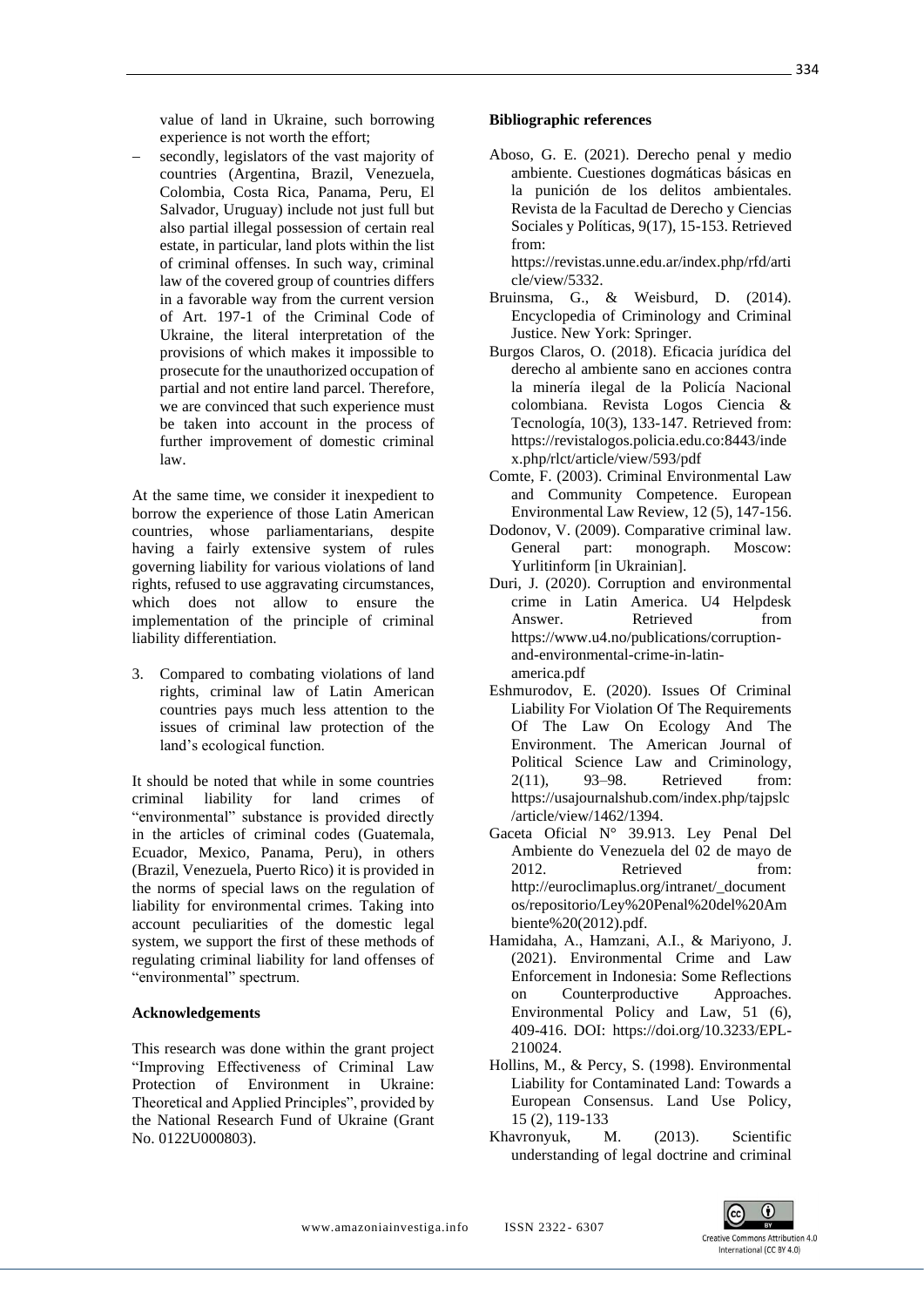value of land in Ukraine, such borrowing experience is not worth the effort;

secondly, legislators of the vast majority of countries (Argentina, Brazil, Venezuela, Colombia, Costa Rica, Panama, Peru, El Salvador, Uruguay) include not just full but also partial illegal possession of certain real estate, in particular, land plots within the list of criminal offenses. In such way, criminal law of the covered group of countries differs in a favorable way from the current version of Art. 197-1 of the Criminal Code of Ukraine, the literal interpretation of the provisions of which makes it impossible to prosecute for the unauthorized occupation of partial and not entire land parcel. Therefore, we are convinced that such experience must be taken into account in the process of further improvement of domestic criminal law.

At the same time, we consider it inexpedient to borrow the experience of those Latin American countries, whose parliamentarians, despite having a fairly extensive system of rules governing liability for various violations of land rights, refused to use aggravating circumstances, which does not allow to ensure the implementation of the principle of criminal liability differentiation.

3. Compared to combating violations of land rights, criminal law of Latin American countries pays much less attention to the issues of criminal law protection of the land's ecological function.

It should be noted that while in some countries criminal liability for land crimes of "environmental" substance is provided directly in the articles of criminal codes (Guatemala, Ecuador, Mexico, Panama, Peru), in others (Brazil, Venezuela, Puerto Rico) it is provided in the norms of special laws on the regulation of liability for environmental crimes. Taking into account peculiarities of the domestic legal system, we support the first of these methods of regulating criminal liability for land offenses of "environmental" spectrum.

### **Acknowledgements**

This research was done within the grant project "Improving Effectiveness of Criminal Law Protection of Environment in Ukraine: Theoretical and Applied Principles", provided by the National Research Fund of Ukraine (Grant No. 0122U000803).

#### **Bibliographic references**

Aboso, G. E. (2021). Derecho penal y medio ambiente. Cuestiones dogmáticas básicas en la punición de los delitos ambientales. Revista de la Facultad de Derecho y Ciencias Sociales y Políticas, 9(17), 15-153. Retrieved from:

https://revistas.unne.edu.ar/index.php/rfd/arti cle/view/5332.

- Bruinsma, G., & Weisburd, D. (2014). Encyclopedia of Criminology and Criminal Justice. New York: Springer.
- Burgos Claros, O. (2018). Eficacia jurídica del derecho al ambiente sano en acciones contra la minería ilegal de la Policía Nacional colombiana. Revista Logos Ciencia & Tecnología, 10(3), 133-147. Retrieved from: https://revistalogos.policia.edu.co:8443/inde x.php/rlct/article/view/593/pdf
- Comte, F. (2003). Criminal Environmental Law and Community Competence. European Environmental Law Review, 12 (5), 147-156.
- Dodonov, V. (2009). Comparative criminal law. General part: monograph. Moscow: Yurlitinform [in Ukrainian].
- Duri, J. (2020). Corruption and environmental crime in Latin America. U4 Helpdesk Answer. Retrieved from https://www.u4.no/publications/corruptionand-environmental-crime-in-latinamerica.pdf
- Eshmurodov, E. (2020). Issues Of Criminal Liability For Violation Of The Requirements Of The Law On Ecology And The Environment. The American Journal of Political Science Law and Criminology, 2(11), 93–98. Retrieved from: https://usajournalshub.com/index.php/tajpslc /article/view/1462/1394.
- Gaceta Oficial N° 39.913. Ley Penal Del Ambiente do Venezuela del 02 de mayo de 2012 Retrieved from: http://euroclimaplus.org/intranet/\_document os/repositorio/Ley%20Penal%20del%20Am biente%20(2012).pdf.
- Hamidahа, A., Hamzani, A.I., & Mariyono, J. (2021). Environmental Crime and Law Enforcement in Indonesia: Some Reflections on Counterproductive Approaches. Environmental Policy and Law, 51 (6), 409-416. DOI: https://doi.org/10.3233/EPL-210024.
- Hollins, M., & Percy, S. (1998). Environmental Liability for Contaminated Land: Towards a European Consensus. Land Use Policy, 15 (2), 119-133
- Khavronyuk, M. (2013). Scientific understanding of legal doctrine and criminal

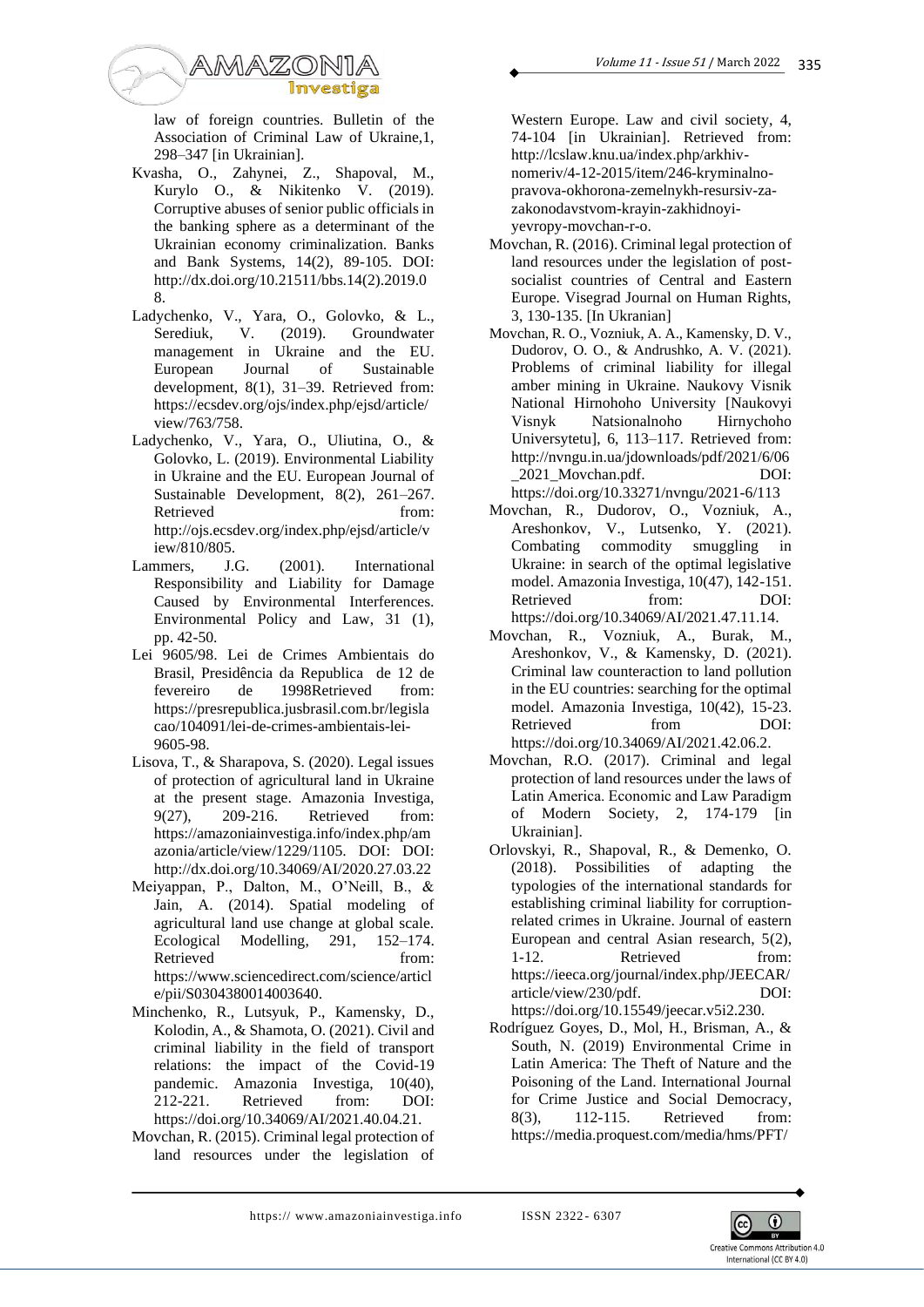

law of foreign countries. Bulletin of the Association of Criminal Law of Ukraine,1, 298–347 [in Ukrainian].

- Kvasha, O., Zahynei, Z., Shapoval, M., Kurylo O., & Nikitenko V. (2019). Corruptive abuses of senior public officials in the banking sphere as a determinant of the Ukrainian economy criminalization. Banks and Bank Systems, 14(2), 89-105. DOI: http://dx.doi.org/10.21511/bbs.14(2).2019.0 8.
- Ladychenko, V., Yara, O., Golovko, & L.,<br>Serediuk, V. (2019). Groundwater Serediuk, V. (2019). Groundwater management in Ukraine and the EU. European Journal of Sustainable development, 8(1), 31–39. Retrieved from: https://ecsdev.org/ojs/index.php/ejsd/article/ view/763/758.
- Ladychenko, V., Yara, O., Uliutina, O., & Golovko, L. (2019). Environmental Liability in Ukraine and the EU. European Journal of Sustainable Development, 8(2), 261–267. Retrieved from: http://ojs.ecsdev.org/index.php/ejsd/article/v iew/810/805.
- Lammers, J.G. (2001). International Responsibility and Liability for Damage Caused by Environmental Interferences. Environmental Policy and Law, 31 (1), pp. 42-50.
- Lei 9605/98. Lei de Crimes Ambientais do Brasil, Presidência da Republica de 12 de fevereiro de 1998Retrieved from: https://presrepublica.jusbrasil.com.br/legisla cao/104091/lei-de-crimes-ambientais-lei-9605-98.
- Lisova, T., & Sharapova, S. (2020). Legal issues of protection of agricultural land in Ukraine at the present stage. Amazonia Investiga, 9(27), 209-216. Retrieved from: https://amazoniainvestiga.info/index.php/am azonia/article/view/1229/1105. DOI: DOI: http://dx.doi.org/10.34069/AI/2020.27.03.22
- Meiyappan, P., Dalton, M., O'Neill, B., & Jain, A. (2014). Spatial modeling of agricultural land use change at global scale. Ecological Modelling, 291, 152–174. Retrieved from: https://www.sciencedirect.com/science/articl e/pii/S0304380014003640.
- Minchenko, R., Lutsyuk, P., Kamensky, D., Kolodin, A., & Shamota, O. (2021). Civil and criminal liability in the field of transport relations: the impact of the Covid-19 pandemic. Amazonia Investiga, 10(40), 212-221. Retrieved from: DOI: https://doi.org/10.34069/AI/2021.40.04.21.
- Movchan, R. (2015). Criminal legal protection of land resources under the legislation of

Western Europe. Law and civil society, 4, 74-104 [in Ukrainian]. Retrieved from: http://lcslaw.knu.ua/index.php/arkhivnomeriv/4-12-2015/item/246-kryminalnopravova-okhorona-zemelnykh-resursiv-zazakonodavstvom-krayin-zakhidnoyiyevropy-movchan-r-o.

- Movchan, R. (2016). Criminal legal protection of land resources under the legislation of postsocialist countries of Central and Eastern Europe. Visegrad Journal on Human Rights, 3, 130-135. [In Ukranian]
- Movchan, R. O., Vozniuk, A. A., Kamensky, D. V., Dudorov, O. O., & Andrushko, A. V. (2021). Problems of criminal liability for illegal amber mining in Ukraine. Naukovy Visnik National Hirnohoho University [Naukovyi Visnyk Natsionalnoho Hirnychoho Universytetu], 6, 113–117. Retrieved from: http://nvngu.in.ua/jdownloads/pdf/2021/6/06 \_2021\_Movchan.pdf. DOI: https://doi.org/10.33271/nvngu/2021-6/113
- Movchan, R., Dudorov, O., Vozniuk, A., Areshonkov, V., Lutsenko, Y. (2021). Combating commodity smuggling in Ukraine: in search of the optimal legislative model. Amazonia Investiga, 10(47), 142-151. Retrieved from: DOI: https://doi.org/10.34069/AI/2021.47.11.14.
- Movchan, R., Vozniuk, A., Burak, M., Areshonkov, V., & Kamensky, D. (2021). Criminal law counteraction to land pollution in the EU countries: searching for the optimal model. Amazonia Investiga, 10(42), 15-23. Retrieved from DOI: https://doi.org/10.34069/AI/2021.42.06.2.
- Movchan, R.O. (2017). Criminal and legal protection of land resources under the laws of Latin America. Еconomic and Law Paradigm of Modern Society, 2, 174-179 [in Ukrainian].
- Orlovskyi, R., Shapoval, R., & Demenko, O. (2018). Possibilities of adapting the typologies of the international standards for establishing criminal liability for corruptionrelated crimes in Ukraine. Journal of eastern European and central Asian research, 5(2), 1-12. Retrieved from: https://ieeca.org/journal/index.php/JEECAR/ article/view/230/pdf. DOI: https://doi.org/10.15549/jeecar.v5i2.230.
- Rodríguez Goyes, D., Mol, H., Brisman, A., & South, N. (2019) Environmental Crime in Latin America: The Theft of Nature and the Poisoning of the Land. International Journal for Crime Justice and Social Democracy, 8(3), 112-115. Retrieved from: https://media.proquest.com/media/hms/PFT/